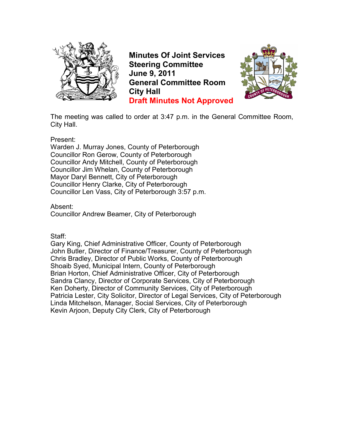

**Minutes Of Joint Services Steering Committee June 9, 2011 General Committee Room City Hall Draft Minutes Not Approved**



The meeting was called to order at 3:47 p.m. in the General Committee Room, City Hall.

Present:

Warden J. Murray Jones, County of Peterborough Councillor Ron Gerow, County of Peterborough Councillor Andy Mitchell, County of Peterborough Councillor Jim Whelan, County of Peterborough Mayor Daryl Bennett, City of Peterborough Councillor Henry Clarke, City of Peterborough Councillor Len Vass, City of Peterborough 3:57 p.m.

Absent:

Councillor Andrew Beamer, City of Peterborough

Staff:

Gary King, Chief Administrative Officer, County of Peterborough John Butler, Director of Finance/Treasurer, County of Peterborough Chris Bradley, Director of Public Works, County of Peterborough Shoaib Syed, Municipal Intern, County of Peterborough Brian Horton, Chief Administrative Officer, City of Peterborough Sandra Clancy, Director of Corporate Services, City of Peterborough Ken Doherty, Director of Community Services, City of Peterborough Patricia Lester, City Solicitor, Director of Legal Services, City of Peterborough Linda Mitchelson, Manager, Social Services, City of Peterborough Kevin Arjoon, Deputy City Clerk, City of Peterborough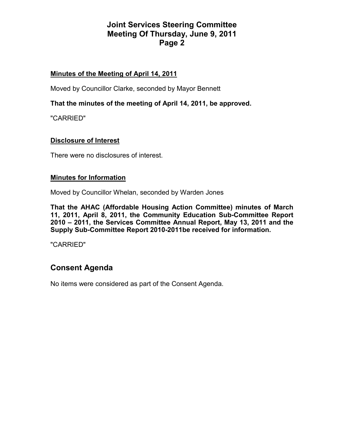# **Joint Services Steering Committee Meeting Of Thursday, June 9, 2011 Page 2**

## **Minutes of the Meeting of April 14, 2011**

Moved by Councillor Clarke, seconded by Mayor Bennett

**That the minutes of the meeting of April 14, 2011, be approved.** 

"CARRIED"

## **Disclosure of Interest**

There were no disclosures of interest.

### **Minutes for Information**

Moved by Councillor Whelan, seconded by Warden Jones

**That the AHAC (Affordable Housing Action Committee) minutes of March 11, 2011, April 8, 2011, the Community Education Sub-Committee Report 2010 – 2011, the Services Committee Annual Report, May 13, 2011 and the Supply Sub-Committee Report 2010-2011be received for information.** 

"CARRIED"

# **Consent Agenda**

No items were considered as part of the Consent Agenda.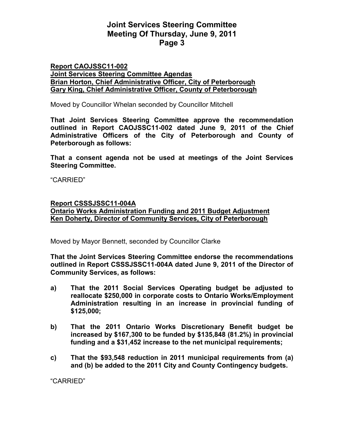## **Joint Services Steering Committee Meeting Of Thursday, June 9, 2011 Page 3**

#### **Report CAOJSSC11-002 Joint Services Steering Committee Agendas Brian Horton, Chief Administrative Officer, City of Peterborough Gary King, Chief Administrative Officer, County of Peterborough**

Moved by Councillor Whelan seconded by Councillor Mitchell

**That Joint Services Steering Committee approve the recommendation outlined in Report CAOJSSC11-002 dated June 9, 2011 of the Chief Administrative Officers of the City of Peterborough and County of Peterborough as follows:** 

**That a consent agenda not be used at meetings of the Joint Services Steering Committee.** 

"CARRIED"

#### **Report CSSSJSSC11-004A**

**Ontario Works Administration Funding and 2011 Budget Adjustment Ken Doherty, Director of Community Services, City of Peterborough**

Moved by Mayor Bennett, seconded by Councillor Clarke

**That the Joint Services Steering Committee endorse the recommendations outlined in Report CSSSJSSC11-004A dated June 9, 2011 of the Director of Community Services, as follows:** 

- **a) That the 2011 Social Services Operating budget be adjusted to reallocate \$250,000 in corporate costs to Ontario Works/Employment Administration resulting in an increase in provincial funding of \$125,000;**
- **b) That the 2011 Ontario Works Discretionary Benefit budget be increased by \$167,300 to be funded by \$135,848 (81.2%) in provincial funding and a \$31,452 increase to the net municipal requirements;**
- **c) That the \$93,548 reduction in 2011 municipal requirements from (a) and (b) be added to the 2011 City and County Contingency budgets.**

"CARRIED"